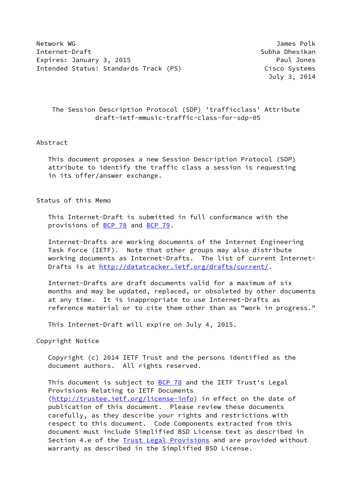Network WG James Polk Internet-Draft Subha Dhesikan Expires: January 3, 2015 **Paul American Strategier Paul Jones** Intended Status: Standards Track (PS) Cisco Systems

July 3, 2014

## The Session Description Protocol (SDP) 'trafficclass' Attribute draft-ietf-mmusic-traffic-class-for-sdp-05

#### Abstract

 This document proposes a new Session Description Protocol (SDP) attribute to identify the traffic class a session is requesting in its offer/answer exchange.

## Status of this Memo

 This Internet-Draft is submitted in full conformance with the provisions of [BCP 78](https://datatracker.ietf.org/doc/pdf/bcp78) and [BCP 79](https://datatracker.ietf.org/doc/pdf/bcp79).

 Internet-Drafts are working documents of the Internet Engineering Task Force (IETF). Note that other groups may also distribute working documents as Internet-Drafts. The list of current Internet Drafts is at<http://datatracker.ietf.org/drafts/current/>.

 Internet-Drafts are draft documents valid for a maximum of six months and may be updated, replaced, or obsoleted by other documents at any time. It is inappropriate to use Internet-Drafts as reference material or to cite them other than as "work in progress."

This Internet-Draft will expire on July 4, 2015.

Copyright Notice

 Copyright (c) 2014 IETF Trust and the persons identified as the document authors. All rights reserved.

This document is subject to **[BCP 78](https://datatracker.ietf.org/doc/pdf/bcp78)** and the IETF Trust's Legal Provisions Relating to IETF Documents [\(http://trustee.ietf.org/license-info](http://trustee.ietf.org/license-info)) in effect on the date of publication of this document. Please review these documents carefully, as they describe your rights and restrictions with respect to this document. Code Components extracted from this document must include Simplified BSD License text as described in Section 4.e of the **[Trust Legal Provisions](https://trustee.ietf.org/license-info)** and are provided without warranty as described in the Simplified BSD License.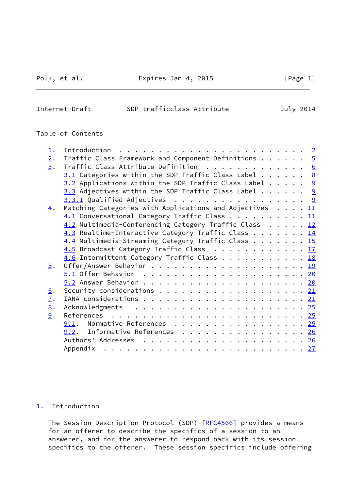## Polk, et al. **Expires Jan 4, 2015** [Page 1]

#### <span id="page-1-1"></span>Internet-Draft SDP trafficclass Attribute July 2014

### Table of Contents

| $\perp$ .         |                                                                                   |  |
|-------------------|-----------------------------------------------------------------------------------|--|
| 2.                | Traffic Class Framework and Component Definitions $\cdots$ $\cdots$ $\frac{5}{2}$ |  |
| 3.                | Traffic Class Attribute Definition $\ldots \ldots \ldots \ldots$                  |  |
|                   | $3.1$ Categories within the SDP Traffic Class Label 8                             |  |
|                   | $3.2$ Applications within the SDP Traffic Class Label 9                           |  |
|                   | 3.3 Adjectives within the SDP Traffic Class Label $\cdots$ 9                      |  |
|                   | <u><math>3.3.1</math></u> Qualified Adjectives 9                                  |  |
| 4.                | Matching Categories with Applications and Adjectives $\ldots$ $\ldots$            |  |
|                   | 4.1 Conversational Category Traffic Class 11                                      |  |
|                   | 4.2 Multimedia-Conferencing Category Traffic Class 12                             |  |
|                   | 4.3 Realtime-Interactive Category Traffic Class 14                                |  |
|                   | 4.4 Multimedia-Streaming Category Traffic Class 15                                |  |
|                   | 4.5 Broadcast Category Traffic Class 17                                           |  |
|                   | 4.6 Intermittent Category Traffic Class 18                                        |  |
| $\overline{5}$ .  |                                                                                   |  |
|                   |                                                                                   |  |
|                   |                                                                                   |  |
| $\underline{6}$ . |                                                                                   |  |
| $\mathbf{I}$ .    |                                                                                   |  |
|                   |                                                                                   |  |
| 8.                |                                                                                   |  |
| 9.                |                                                                                   |  |
|                   | $9.1$ . Normative References 25                                                   |  |
|                   | 9.2. Informative References 26                                                    |  |
|                   |                                                                                   |  |
|                   |                                                                                   |  |

## <span id="page-1-0"></span>[1](#page-1-0). Introduction

The Session Description Protocol (SDP) [\[RFC4566](https://datatracker.ietf.org/doc/pdf/rfc4566)] provides a means for an offerer to describe the specifics of a session to an answerer, and for the answerer to respond back with its session specifics to the offerer. These session specifics include offering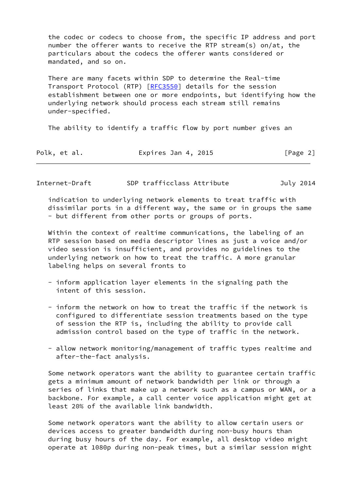the codec or codecs to choose from, the specific IP address and port number the offerer wants to receive the RTP stream(s) on/at, the particulars about the codecs the offerer wants considered or mandated, and so on.

 There are many facets within SDP to determine the Real-time Transport Protocol (RTP) [\[RFC3550](https://datatracker.ietf.org/doc/pdf/rfc3550)] details for the session establishment between one or more endpoints, but identifying how the underlying network should process each stream still remains under-specified.

The ability to identify a traffic flow by port number gives an

| Polk, et al. | Expires Jan 4, 2015 | [Page 2] |
|--------------|---------------------|----------|
|--------------|---------------------|----------|

| Internet-Draft | SDP trafficclass Attribute | July 2014 |
|----------------|----------------------------|-----------|
|----------------|----------------------------|-----------|

 indication to underlying network elements to treat traffic with dissimilar ports in a different way, the same or in groups the same - but different from other ports or groups of ports.

 Within the context of realtime communications, the labeling of an RTP session based on media descriptor lines as just a voice and/or video session is insufficient, and provides no guidelines to the underlying network on how to treat the traffic. A more granular labeling helps on several fronts to

- inform application layer elements in the signaling path the intent of this session.
- inform the network on how to treat the traffic if the network is configured to differentiate session treatments based on the type of session the RTP is, including the ability to provide call admission control based on the type of traffic in the network.
- allow network monitoring/management of traffic types realtime and after-the-fact analysis.

 Some network operators want the ability to guarantee certain traffic gets a minimum amount of network bandwidth per link or through a series of links that make up a network such as a campus or WAN, or a backbone. For example, a call center voice application might get at least 20% of the available link bandwidth.

 Some network operators want the ability to allow certain users or devices access to greater bandwidth during non-busy hours than during busy hours of the day. For example, all desktop video might operate at 1080p during non-peak times, but a similar session might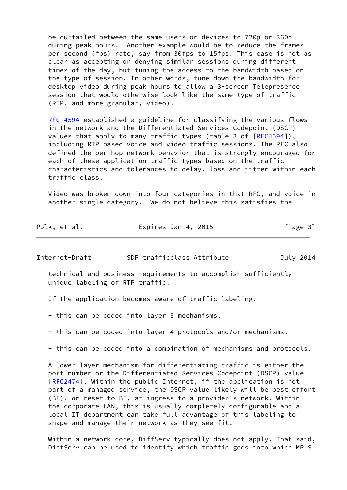be curtailed between the same users or devices to 720p or 360p during peak hours. Another example would be to reduce the frames per second (fps) rate, say from 30fps to 15fps. This case is not as clear as accepting or denying similar sessions during different times of the day, but tuning the access to the bandwidth based on the type of session. In other words, tune down the bandwidth for desktop video during peak hours to allow a 3-screen Telepresence session that would otherwise look like the same type of traffic (RTP, and more granular, video).

[RFC 4594](https://datatracker.ietf.org/doc/pdf/rfc4594) established a guideline for classifying the various flows in the network and the Differentiated Services Codepoint (DSCP) values that apply to many traffic types (table 3 of  $[REC4594]$ ), including RTP based voice and video traffic sessions. The RFC also defined the per hop network behavior that is strongly encouraged for each of these application traffic types based on the traffic characteristics and tolerances to delay, loss and jitter within each traffic class.

 Video was broken down into four categories in that RFC, and voice in another single category. We do not believe this satisfies the

| Polk, et al. | Expires Jan 4, 2015 | [Page 3] |
|--------------|---------------------|----------|
|--------------|---------------------|----------|

Internet-Draft SDP trafficclass Attribute July 2014

 technical and business requirements to accomplish sufficiently unique labeling of RTP traffic.

If the application becomes aware of traffic labeling,

- this can be coded into layer 3 mechanisms.
- this can be coded into layer 4 protocols and/or mechanisms.
- this can be coded into a combination of mechanisms and protocols.

 A lower layer mechanism for differentiating traffic is either the port number or the Differentiated Services Codepoint (DSCP) value [\[RFC2474](https://datatracker.ietf.org/doc/pdf/rfc2474)]. Within the public Internet, if the application is not part of a managed service, the DSCP value likely will be best effort (BE), or reset to BE, at ingress to a provider's network. Within the corporate LAN, this is usually completely configurable and a local IT department can take full advantage of this labeling to shape and manage their network as they see fit.

 Within a network core, DiffServ typically does not apply. That said, DiffServ can be used to identify which traffic goes into which MPLS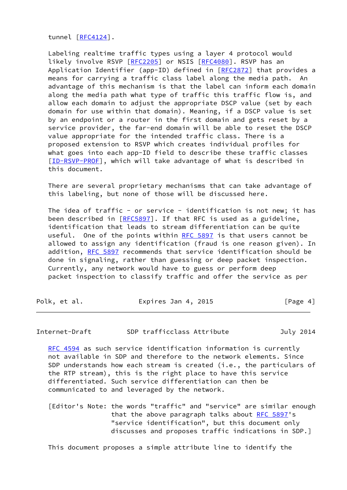tunnel [\[RFC4124](https://datatracker.ietf.org/doc/pdf/rfc4124)].

 Labeling realtime traffic types using a layer 4 protocol would likely involve RSVP [\[RFC2205](https://datatracker.ietf.org/doc/pdf/rfc2205)] or NSIS [[RFC4080](https://datatracker.ietf.org/doc/pdf/rfc4080)]. RSVP has an Application Identifier (app-ID) defined in [[RFC2872\]](https://datatracker.ietf.org/doc/pdf/rfc2872) that provides a means for carrying a traffic class label along the media path. An advantage of this mechanism is that the label can inform each domain along the media path what type of traffic this traffic flow is, and allow each domain to adjust the appropriate DSCP value (set by each domain for use within that domain). Meaning, if a DSCP value is set by an endpoint or a router in the first domain and gets reset by a service provider, the far-end domain will be able to reset the DSCP value appropriate for the intended traffic class. There is a proposed extension to RSVP which creates individual profiles for what goes into each app-ID field to describe these traffic classes [\[ID-RSVP-PROF](#page-31-1)], which will take advantage of what is described in this document.

 There are several proprietary mechanisms that can take advantage of this labeling, but none of those will be discussed here.

The idea of traffic - or service - identification is not new; it has been described in [[RFC5897](https://datatracker.ietf.org/doc/pdf/rfc5897)]. If that RFC is used as a guideline, identification that leads to stream differentiation can be quite useful. One of the points within [RFC 5897](https://datatracker.ietf.org/doc/pdf/rfc5897) is that users cannot be allowed to assign any identification (fraud is one reason given). In addition, [RFC 5897](https://datatracker.ietf.org/doc/pdf/rfc5897) recommends that service identification should be done in signaling, rather than guessing or deep packet inspection. Currently, any network would have to guess or perform deep packet inspection to classify traffic and offer the service as per

| Polk, et al. | Expires Jan 4, 2015 | [Page 4] |
|--------------|---------------------|----------|
|--------------|---------------------|----------|

<span id="page-4-0"></span>Internet-Draft SDP trafficclass Attribute July 2014

 [RFC 4594](https://datatracker.ietf.org/doc/pdf/rfc4594) as such service identification information is currently not available in SDP and therefore to the network elements. Since SDP understands how each stream is created (i.e., the particulars of the RTP stream), this is the right place to have this service differentiated. Such service differentiation can then be communicated to and leveraged by the network.

[Editor's Note: the words "traffic" and "service" are similar enough that the above paragraph talks about [RFC 5897](https://datatracker.ietf.org/doc/pdf/rfc5897)'s "service identification", but this document only discusses and proposes traffic indications in SDP.]

This document proposes a simple attribute line to identify the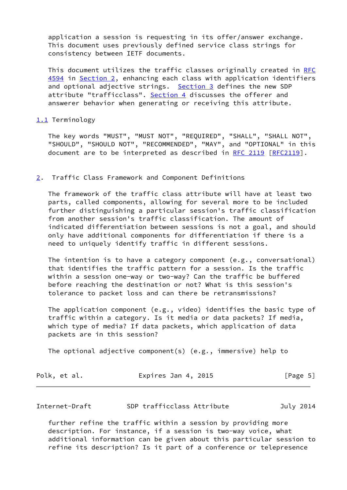application a session is requesting in its offer/answer exchange. This document uses previously defined service class strings for consistency between IETF documents.

 This document utilizes the traffic classes originally created in [RFC](https://datatracker.ietf.org/doc/pdf/rfc4594) [4594](https://datatracker.ietf.org/doc/pdf/rfc4594) in [Section 2](#page-5-0), enhancing each class with application identifiers and optional adjective strings. [Section 3](#page-7-0) defines the new SDP attribute "trafficclass". [Section 4](#page-12-0) discusses the offerer and answerer behavior when generating or receiving this attribute.

#### <span id="page-5-2"></span>[1.1](#page-5-2) Terminology

 The key words "MUST", "MUST NOT", "REQUIRED", "SHALL", "SHALL NOT", "SHOULD", "SHOULD NOT", "RECOMMENDED", "MAY", and "OPTIONAL" in this document are to be interpreted as described in [RFC 2119 \[RFC2119](https://datatracker.ietf.org/doc/pdf/rfc2119)].

#### <span id="page-5-0"></span>[2](#page-5-0). Traffic Class Framework and Component Definitions

 The framework of the traffic class attribute will have at least two parts, called components, allowing for several more to be included further distinguishing a particular session's traffic classification from another session's traffic classification. The amount of indicated differentiation between sessions is not a goal, and should only have additional components for differentiation if there is a need to uniquely identify traffic in different sessions.

 The intention is to have a category component (e.g., conversational) that identifies the traffic pattern for a session. Is the traffic within a session one-way or two-way? Can the traffic be buffered before reaching the destination or not? What is this session's tolerance to packet loss and can there be retransmissions?

 The application component (e.g., video) identifies the basic type of traffic within a category. Is it media or data packets? If media, which type of media? If data packets, which application of data packets are in this session?

The optional adjective component(s) (e.g., immersive) help to

| Polk, et al. | Expires Jan 4, 2015 | [Page 5] |
|--------------|---------------------|----------|
|--------------|---------------------|----------|

<span id="page-5-1"></span>Internet-Draft SDP trafficclass Attribute July 2014

 further refine the traffic within a session by providing more description. For instance, if a session is two-way voice, what additional information can be given about this particular session to refine its description? Is it part of a conference or telepresence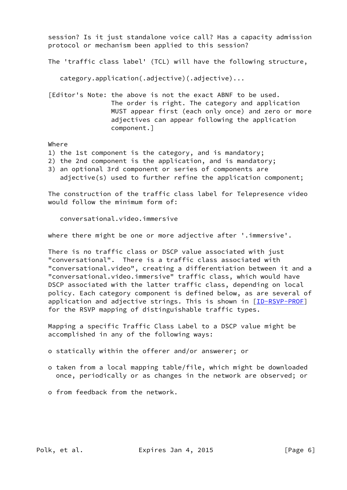session? Is it just standalone voice call? Has a capacity admission protocol or mechanism been applied to this session?

The 'traffic class label' (TCL) will have the following structure,

category.application(.adjective)(.adjective)...

 [Editor's Note: the above is not the exact ABNF to be used. The order is right. The category and application MUST appear first (each only once) and zero or more adjectives can appear following the application component.]

Where

- 1) the 1st component is the category, and is mandatory;
- 2) the 2nd component is the application, and is mandatory;
- 3) an optional 3rd component or series of components are

adjective(s) used to further refine the application component;

 The construction of the traffic class label for Telepresence video would follow the minimum form of:

conversational.video.immersive

where there might be one or more adjective after '.immersive'.

 There is no traffic class or DSCP value associated with just "conversational". There is a traffic class associated with "conversational.video", creating a differentiation between it and a "conversational.video.immersive" traffic class, which would have DSCP associated with the latter traffic class, depending on local policy. Each category component is defined below, as are several of application and adjective strings. This is shown in [\[ID-RSVP-PROF](#page-31-1)] for the RSVP mapping of distinguishable traffic types.

 Mapping a specific Traffic Class Label to a DSCP value might be accomplished in any of the following ways:

o statically within the offerer and/or answerer; or

- o taken from a local mapping table/file, which might be downloaded once, periodically or as changes in the network are observed; or
- o from feedback from the network.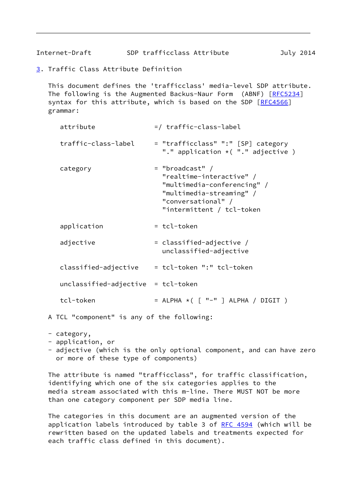Internet-Draft SDP trafficclass Attribute July 2014

<span id="page-7-0"></span>[3](#page-7-0). Traffic Class Attribute Definition

 This document defines the 'trafficclass' media-level SDP attribute. The following is the Augmented Backus-Naur Form (ABNF) [\[RFC5234](https://datatracker.ietf.org/doc/pdf/rfc5234)] syntax for this attribute, which is based on the SDP [\[RFC4566](https://datatracker.ietf.org/doc/pdf/rfc4566)] grammar:

| attribute                            | =/ traffic-class-label                                                                                                                                      |
|--------------------------------------|-------------------------------------------------------------------------------------------------------------------------------------------------------------|
| traffic-class-label                  | = "trafficclass" ":" [SP] category<br>"." application $\star$ ("." adjective)                                                                               |
| category                             | $=$ "broadcast" /<br>"realtime-interactive" /<br>"multimedia-conferencing" /<br>"multimedia-streaming" /<br>"conversational" /<br>"intermittent / tcl-token |
| application                          | = tcl-token                                                                                                                                                 |
| adjective                            | = classified-adjective /<br>unclassified-adjective                                                                                                          |
| classified-adjective                 | = tcl-token ":" tcl-token                                                                                                                                   |
| $unclassified-adjective = tol-token$ |                                                                                                                                                             |
| tcl-token                            | = ALPHA *( [ "-" ] ALPHA / DIGIT )                                                                                                                          |

A TCL "component" is any of the following:

- category,
- application, or
- adjective (which is the only optional component, and can have zero or more of these type of components)

 The attribute is named "trafficclass", for traffic classification, identifying which one of the six categories applies to the media stream associated with this m-line. There MUST NOT be more than one category component per SDP media line.

 The categories in this document are an augmented version of the application labels introduced by table 3 of [RFC 4594](https://datatracker.ietf.org/doc/pdf/rfc4594) (which will be rewritten based on the updated labels and treatments expected for each traffic class defined in this document).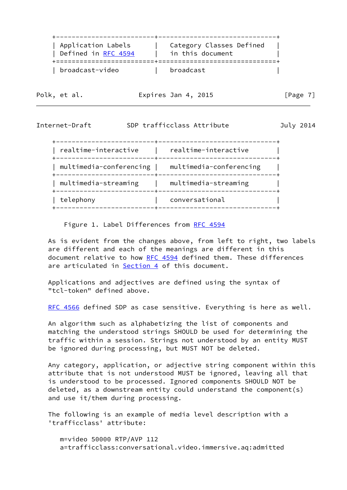| Application Labels  | Category Classes Defined |
|---------------------|--------------------------|
| Defined in RFC 4594 | in this document         |
| broadcast-video     | broadcast                |

| Polk, |  | et al. |
|-------|--|--------|
|       |  |        |

Expires Jan 4, 2015 [Page 7]

#### <span id="page-8-0"></span>Internet-Draft SDP trafficclass Attribute July 2014

 +-------------------------+------------------------------+ | realtime-interactive | realtime-interactive | +-------------------------+------------------------------+ | multimedia-conferencing | multimedia-conferencing | +-------------------------+------------------------------+ | multimedia-streaming | multimedia-streaming | +-------------------------+------------------------------+ | telephony | conversational +-------------------------+------------------------------+

Figure 1. Label Differences from [RFC 4594](https://datatracker.ietf.org/doc/pdf/rfc4594)

 As is evident from the changes above, from left to right, two labels are different and each of the meanings are different in this document relative to how [RFC 4594](https://datatracker.ietf.org/doc/pdf/rfc4594) defined them. These differences are articulated in **Section 4** of this document.

 Applications and adjectives are defined using the syntax of "tcl-token" defined above.

[RFC 4566](https://datatracker.ietf.org/doc/pdf/rfc4566) defined SDP as case sensitive. Everything is here as well.

 An algorithm such as alphabetizing the list of components and matching the understood strings SHOULD be used for determining the traffic within a session. Strings not understood by an entity MUST be ignored during processing, but MUST NOT be deleted.

 Any category, application, or adjective string component within this attribute that is not understood MUST be ignored, leaving all that is understood to be processed. Ignored components SHOULD NOT be deleted, as a downstream entity could understand the component(s) and use it/them during processing.

 The following is an example of media level description with a 'trafficclass' attribute:

 m=video 50000 RTP/AVP 112 a=trafficclass:conversational.video.immersive.aq:admitted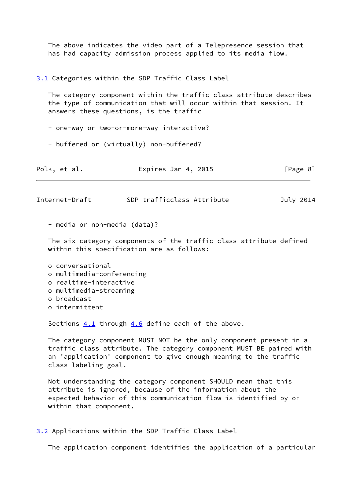The above indicates the video part of a Telepresence session that has had capacity admission process applied to its media flow.

#### <span id="page-9-0"></span>[3.1](#page-9-0) Categories within the SDP Traffic Class Label

 The category component within the traffic class attribute describes the type of communication that will occur within that session. It answers these questions, is the traffic

- one-way or two-or-more-way interactive?

- buffered or (virtually) non-buffered?

| Polk, et al. | Expires Jan 4, 2015 | [Page 8] |
|--------------|---------------------|----------|
|--------------|---------------------|----------|

<span id="page-9-2"></span>Internet-Draft SDP trafficclass Attribute July 2014

- media or non-media (data)?

 The six category components of the traffic class attribute defined within this specification are as follows:

- o conversational
- o multimedia-conferencing
- o realtime-interactive
- o multimedia-streaming
- o broadcast
- o intermittent

Sections  $4.1$  through  $4.6$  define each of the above.

 The category component MUST NOT be the only component present in a traffic class attribute. The category component MUST BE paired with an 'application' component to give enough meaning to the traffic class labeling goal.

 Not understanding the category component SHOULD mean that this attribute is ignored, because of the information about the expected behavior of this communication flow is identified by or within that component.

<span id="page-9-1"></span>[3.2](#page-9-1) Applications within the SDP Traffic Class Label

The application component identifies the application of a particular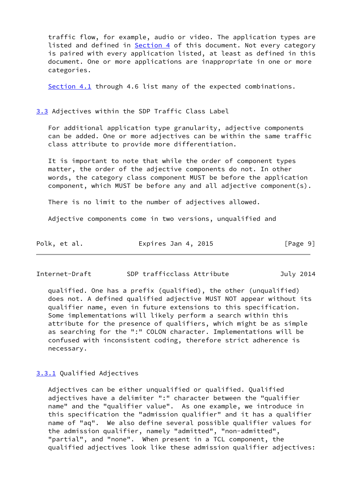traffic flow, for example, audio or video. The application types are listed and defined in **Section 4** of this document. Not every category is paired with every application listed, at least as defined in this document. One or more applications are inappropriate in one or more categories.

[Section 4.1](#page-12-1) through 4.6 list many of the expected combinations.

<span id="page-10-0"></span>[3.3](#page-10-0) Adjectives within the SDP Traffic Class Label

 For additional application type granularity, adjective components can be added. One or more adjectives can be within the same traffic class attribute to provide more differentiation.

 It is important to note that while the order of component types matter, the order of the adjective components do not. In other words, the category class component MUST be before the application component, which MUST be before any and all adjective component(s).

There is no limit to the number of adjectives allowed.

Adjective components come in two versions, unqualified and

| Polk, et al. | Expires Jan 4, 2015 | [Page 9] |
|--------------|---------------------|----------|
|--------------|---------------------|----------|

Internet-Draft SDP trafficclass Attribute July 2014

 qualified. One has a prefix (qualified), the other (unqualified) does not. A defined qualified adjective MUST NOT appear without its qualifier name, even in future extensions to this specification. Some implementations will likely perform a search within this attribute for the presence of qualifiers, which might be as simple as searching for the ":" COLON character. Implementations will be confused with inconsistent coding, therefore strict adherence is necessary.

#### <span id="page-10-1"></span>[3.3.1](#page-10-1) Qualified Adjectives

 Adjectives can be either unqualified or qualified. Qualified adjectives have a delimiter ":" character between the "qualifier name" and the "qualifier value". As one example, we introduce in this specification the "admission qualifier" and it has a qualifier name of "aq". We also define several possible qualifier values for the admission qualifier, namely "admitted", "non-admitted", "partial", and "none". When present in a TCL component, the qualified adjectives look like these admission qualifier adjectives: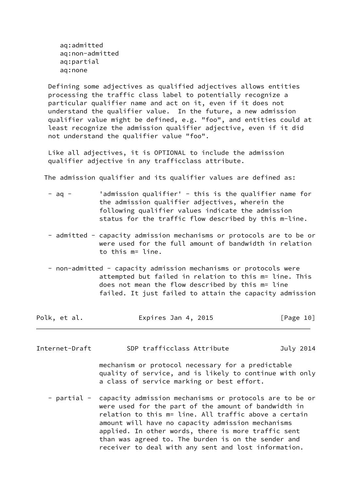aq:admitted aq:non-admitted aq:partial aq:none

 Defining some adjectives as qualified adjectives allows entities processing the traffic class label to potentially recognize a particular qualifier name and act on it, even if it does not understand the qualifier value. In the future, a new admission qualifier value might be defined, e.g. "foo", and entities could at least recognize the admission qualifier adjective, even if it did not understand the qualifier value "foo".

 Like all adjectives, it is OPTIONAL to include the admission qualifier adjective in any trafficclass attribute.

The admission qualifier and its qualifier values are defined as:

| $-$ ag $-$ | 'admission qualifier' - this is the qualifier name for |
|------------|--------------------------------------------------------|
|            | the admission qualifier adjectives, wherein the        |
|            | following qualifier values indicate the admission      |
|            | status for the traffic flow described by this m-line.  |

- admitted capacity admission mechanisms or protocols are to be or were used for the full amount of bandwidth in relation to this m= line.
- non-admitted capacity admission mechanisms or protocols were attempted but failed in relation to this m= line. This does not mean the flow described by this m= line failed. It just failed to attain the capacity admission

| Polk, et al. | Expires Jan 4, 2015 | [Page 10] |
|--------------|---------------------|-----------|
|--------------|---------------------|-----------|

- <span id="page-11-0"></span>Internet-Draft SDP trafficclass Attribute July 2014 mechanism or protocol necessary for a predictable quality of service, and is likely to continue with only a class of service marking or best effort.
	- partial capacity admission mechanisms or protocols are to be or were used for the part of the amount of bandwidth in relation to this m= line. All traffic above a certain amount will have no capacity admission mechanisms applied. In other words, there is more traffic sent than was agreed to. The burden is on the sender and receiver to deal with any sent and lost information.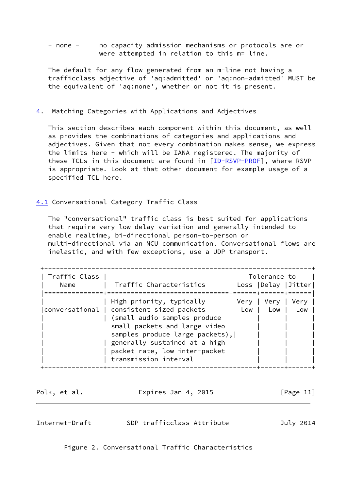- none - no capacity admission mechanisms or protocols are or were attempted in relation to this m= line.

 The default for any flow generated from an m-line not having a trafficclass adjective of 'aq:admitted' or 'aq:non-admitted' MUST be the equivalent of 'aq:none', whether or not it is present.

<span id="page-12-0"></span>[4](#page-12-0). Matching Categories with Applications and Adjectives

 This section describes each component within this document, as well as provides the combinations of categories and applications and adjectives. Given that not every combination makes sense, we express the limits here - which will be IANA registered. The majority of these TCLs in this document are found in [\[ID-RSVP-PROF](#page-31-1)], where RSVP is appropriate. Look at that other document for example usage of a specified TCL here.

<span id="page-12-1"></span>[4.1](#page-12-1) Conversational Category Traffic Class

 The "conversational" traffic class is best suited for applications that require very low delay variation and generally intended to enable realtime, bi-directional person-to-person or multi-directional via an MCU communication. Conversational flows are inelastic, and with few exceptions, use a UDP transport.

| Traffic Class<br>Name | Traffic Characteristics                                                                                                                                                                                                                                              |             | Tolerance to | Loss   Delay   Jitter |
|-----------------------|----------------------------------------------------------------------------------------------------------------------------------------------------------------------------------------------------------------------------------------------------------------------|-------------|--------------|-----------------------|
|                       | High priority, typically<br>conversational   consistent sized packets<br>(small audio samples produce<br>small packets and large video<br>samples produce large packets),<br>generally sustained at a high<br>packet rate, low inter-packet<br>transmission interval | Very<br>Low | Very<br>Low  | Very<br>Low           |

| Polk, et al. | Expires Jan 4, 2015 | [Page 11] |
|--------------|---------------------|-----------|
|              |                     |           |

<span id="page-12-2"></span>Internet-Draft SDP trafficclass Attribute July 2014

Figure 2. Conversational Traffic Characteristics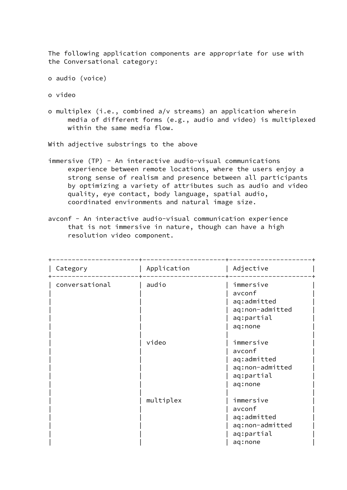The following application components are appropriate for use with the Conversational category:

```
 o audio (voice)
```
o video

 o multiplex (i.e., combined a/v streams) an application wherein media of different forms (e.g., audio and video) is multiplexed within the same media flow.

With adjective substrings to the above

 immersive (TP) - An interactive audio-visual communications experience between remote locations, where the users enjoy a strong sense of realism and presence between all participants by optimizing a variety of attributes such as audio and video quality, eye contact, body language, spatial audio, coordinated environments and natural image size.

+----------------------+---------------------+---------------------+

 avconf - An interactive audio-visual communication experience that is not immersive in nature, though can have a high resolution video component.

| Category       | Application | Adjective                                                                      |
|----------------|-------------|--------------------------------------------------------------------------------|
| conversational | audio       | immersive<br>avconf<br>aq:admitted<br>aq:non-admitted<br>aq:partial<br>aq:none |
|                | video       | immersive<br>avconf<br>aq:admitted<br>aq:non-admitted<br>aq:partial<br>aq:none |
|                | multiplex   | immersive<br>avconf<br>aq:admitted<br>aq:non-admitted<br>aq:partial<br>aq:none |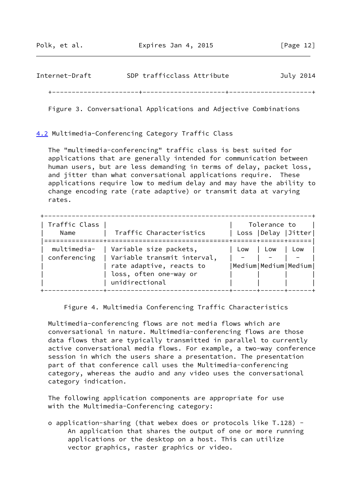| Internet-Draft | SDP trafficclass Attribute | July 2014 |
|----------------|----------------------------|-----------|
|                |                            |           |

Figure 3. Conversational Applications and Adjective Combinations

<span id="page-14-0"></span>[4.2](#page-14-0) Multimedia-Conferencing Category Traffic Class

 The "multimedia-conferencing" traffic class is best suited for applications that are generally intended for communication between human users, but are less demanding in terms of delay, packet loss, and jitter than what conversational applications require. These applications require low to medium delay and may have the ability to change encoding rate (rate adaptive) or transmit data at varying rates.

| Traffic Class<br>Name       | Traffic Characteristics                                                                                                       |     | Tolerance to<br>======+===== | Loss   Delay   Jitter        |
|-----------------------------|-------------------------------------------------------------------------------------------------------------------------------|-----|------------------------------|------------------------------|
| multimedia-<br>conferencing | Variable size packets,<br>Variable transmit interval,<br>rate adaptive, reacts to<br>loss, often one-way or<br>unidirectional | Low | Low                          | Low<br> Medium Medium Medium |

Figure 4. Multimedia Conferencing Traffic Characteristics

 Multimedia-conferencing flows are not media flows which are conversational in nature. Multimedia-conferencing flows are those data flows that are typically transmitted in parallel to currently active conversational media flows. For example, a two-way conference session in which the users share a presentation. The presentation part of that conference call uses the Multimedia-conferencing category, whereas the audio and any video uses the conversational category indication.

 The following application components are appropriate for use with the Multimedia-Conferencing category:

 o application-sharing (that webex does or protocols like T.128) - An application that shares the output of one or more running applications or the desktop on a host. This can utilize vector graphics, raster graphics or video.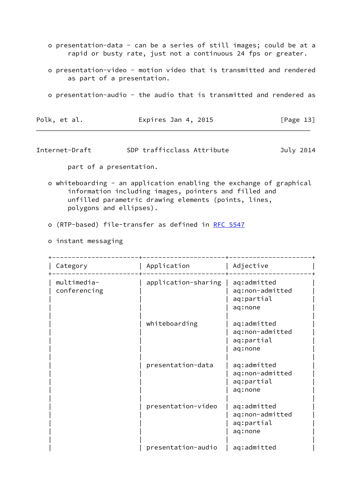- o presentation-data can be a series of still images; could be at a rapid or busty rate, just not a continuous 24 fps or greater.
- o presentation-video motion video that is transmitted and rendered as part of a presentation.
- o presentation-audio the audio that is transmitted and rendered as

| Polk, et al. | Expires Jan 4, 2015 | [Page 13] |
|--------------|---------------------|-----------|
|--------------|---------------------|-----------|

<span id="page-15-0"></span>Internet-Draft SDP trafficclass Attribute July 2014

part of a presentation.

- o whiteboarding an application enabling the exchange of graphical information including images, pointers and filled and unfilled parametric drawing elements (points, lines, polygons and ellipses).
- o (RTP-based) file-transfer as defined in [RFC 5547](https://datatracker.ietf.org/doc/pdf/rfc5547)
- o instant messaging

| Category                    | Application         | Adjective                                               |
|-----------------------------|---------------------|---------------------------------------------------------|
| multimedia-<br>conferencing | application-sharing | aq:admitted<br>aq:non-admitted<br>aq:partial<br>aq:none |
|                             | whiteboarding       | aq:admitted<br>aq:non-admitted<br>aq:partial<br>aq:none |
|                             | presentation-data   | aq:admitted<br>aq:non-admitted<br>aq:partial<br>aq:none |
|                             | presentation-video  | aq:admitted<br>aq:non-admitted<br>aq:partial<br>aq:none |
|                             | presentation-audio  | aq:admitted                                             |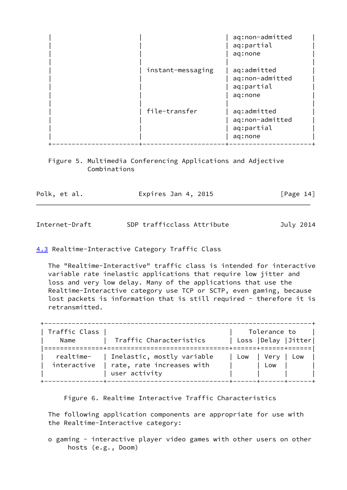|                   | aq:non-admitted<br>aq:partial<br>aq:none                |
|-------------------|---------------------------------------------------------|
| instant-messaging | aq:admitted<br>aq:non-admitted<br>aq:partial<br>aq:none |
| file-transfer     | aq:admitted<br>aq:non-admitted<br>aq:partial<br>aq:none |

 Figure 5. Multimedia Conferencing Applications and Adjective Combinations

| Polk, et al. | Expires Jan 4, 2015 | [Page 14] |
|--------------|---------------------|-----------|
|              |                     |           |
|              |                     |           |

<span id="page-16-1"></span>Internet-Draft SDP trafficclass Attribute July 2014

<span id="page-16-0"></span>[4.3](#page-16-0) Realtime-Interactive Category Traffic Class

 The "Realtime-Interactive" traffic class is intended for interactive variable rate inelastic applications that require low jitter and loss and very low delay. Many of the applications that use the Realtime-Interactive category use TCP or SCTP, even gaming, because lost packets is information that is still required - therefore it is retransmitted.

| Traffic Class |                            | Tolerance to          |  |
|---------------|----------------------------|-----------------------|--|
| Name          | Traffic Characteristics    | Loss   Delay   Jitter |  |
|               |                            |                       |  |
| realtime-     | Inelastic, mostly variable | Low I Verv<br>Low     |  |
| interactive   | rate, rate increases with  | Low                   |  |
|               | user activity              |                       |  |
|               |                            |                       |  |

Figure 6. Realtime Interactive Traffic Characteristics

 The following application components are appropriate for use with the Realtime-Interactive category:

 o gaming - interactive player video games with other users on other hosts (e.g., Doom)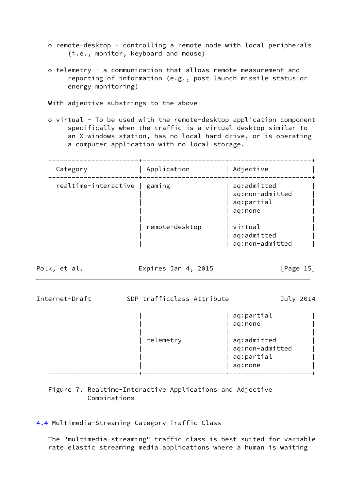- o remote-desktop controlling a remote node with local peripherals (i.e., monitor, keyboard and mouse)
- o telemetry a communication that allows remote measurement and reporting of information (e.g., post launch missile status or energy monitoring)

With adjective substrings to the above

 o virtual - To be used with the remote-desktop application component specifically when the traffic is a virtual desktop similar to an X-windows station, has no local hard drive, or is operating a computer application with no local storage.

+----------------------+---------------------+---------------------+

| Category                      | Application    | Adjective                                               |  |
|-------------------------------|----------------|---------------------------------------------------------|--|
| realtime-interactive   gaming |                | aq:admitted<br>aq:non-admitted<br>aq:partial<br>aq:none |  |
|                               | remote-desktop | virtual<br>aq:admitted<br>aq:non-admitted               |  |

Polk, et al. **Expires Jan 4, 2015** [Page 15]

| Internet-Draft | SDP trafficclass Attribute | July 2014                                                                        |  |
|----------------|----------------------------|----------------------------------------------------------------------------------|--|
|                | telemetry                  | aq:partial<br>aq:none<br>aq:admitted<br>aq:non-admitted<br>aq:partial<br>aq:none |  |
|                |                            |                                                                                  |  |

# Figure 7. Realtime-Interactive Applications and Adjective Combinations

<span id="page-17-0"></span>[4.4](#page-17-0) Multimedia-Streaming Category Traffic Class

 The "multimedia-streaming" traffic class is best suited for variable rate elastic streaming media applications where a human is waiting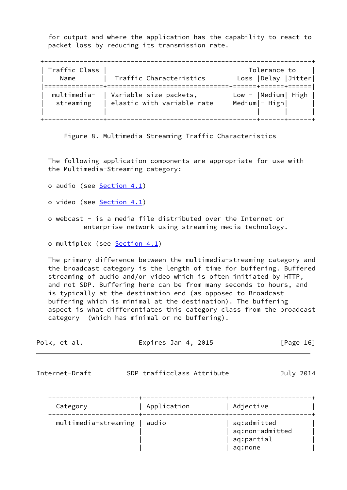for output and where the application has the capability to react to packet loss by reducing its transmission rate.

| Traffic Class |                            | Tolerance to          |
|---------------|----------------------------|-----------------------|
| Name          | Traffic Characteristics    | Loss   Delay   Jitter |
|               |                            |                       |
| multimedia-   | Variable size packets,     | Low -  Medium  High   |
| streaming     | elastic with variable rate | Medium - High         |
|               |                            |                       |
|               |                            |                       |

Figure 8. Multimedia Streaming Traffic Characteristics

 The following application components are appropriate for use with the Multimedia-Streaming category:

- o audio (see [Section 4.1](#page-12-1))
- o video (see [Section 4.1](#page-12-1))
- o webcast is a media file distributed over the Internet or enterprise network using streaming media technology.

o multiplex (see [Section 4.1](#page-12-1))

 The primary difference between the multimedia-streaming category and the broadcast category is the length of time for buffering. Buffered streaming of audio and/or video which is often initiated by HTTP, and not SDP. Buffering here can be from many seconds to hours, and is typically at the destination end (as opposed to Broadcast buffering which is minimal at the destination). The buffering aspect is what differentiates this category class from the broadcast category (which has minimal or no buffering).

<span id="page-18-0"></span>

| Polk, et al.             | Expires Jan 4, 2015             |                                                         | [Page $16$ ] |
|--------------------------|---------------------------------|---------------------------------------------------------|--------------|
| Internet-Draft           | SDP trafficclass Attribute      |                                                         | July 2014    |
| ------------<br>Category | ---------------+<br>Application | Adjective                                               |              |
| multimedia-streaming     | audio                           | aq:admitted<br>aq:non-admitted<br>aq:partial<br>aq:none |              |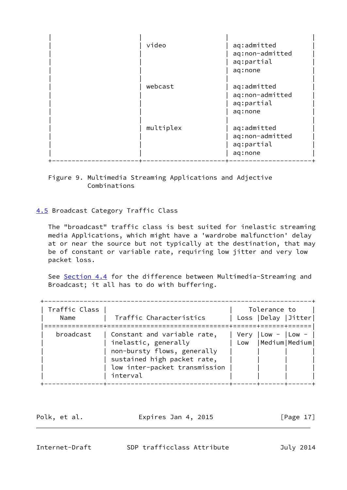| video     | aq:admitted<br>aq:non-admitted<br>aq:partial<br>aq:none |
|-----------|---------------------------------------------------------|
| webcast   | aq:admitted<br>aq:non-admitted<br>aq:partial<br>aq:none |
| multiplex | aq:admitted<br>aq:non-admitted<br>aq:partial<br>aq:none |

# Figure 9. Multimedia Streaming Applications and Adjective Combinations

# <span id="page-19-0"></span>[4.5](#page-19-0) Broadcast Category Traffic Class

 The "broadcast" traffic class is best suited for inelastic streaming media Applications, which might have a 'wardrobe malfunction' delay at or near the source but not typically at the destination, that may be of constant or variable rate, requiring low jitter and very low packet loss.

See [Section 4.4](#page-17-0) for the difference between Multimedia-Streaming and Broadcast; it all has to do with buffering.

| Traffic Class<br>Name | Traffic Characteristics                                                                                                                                        |      | Tolerance to<br>Loss   Delay   Jitter     |  |
|-----------------------|----------------------------------------------------------------------------------------------------------------------------------------------------------------|------|-------------------------------------------|--|
| broadcast             | Constant and variable rate,<br>inelastic, generally<br>non-bursty flows, generally<br>sustained high packet rate,<br>low inter-packet transmission<br>interval | Very | $ Low -   Low -$<br>Low   Medium   Medium |  |

Polk, et al. **Expires Jan 4, 2015** [Page 17]

<span id="page-19-1"></span>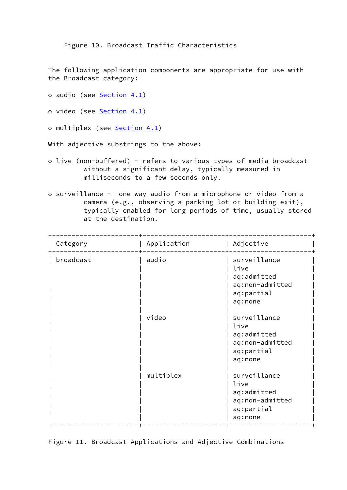Figure 10. Broadcast Traffic Characteristics

 The following application components are appropriate for use with the Broadcast category:

o audio (see [Section 4.1](#page-12-1))

o video (see [Section 4.1](#page-12-1))

o multiplex (see [Section 4.1](#page-12-1))

With adjective substrings to the above:

- o live (non-buffered) refers to various types of media broadcast without a significant delay, typically measured in milliseconds to a few seconds only.
- o surveillance one way audio from a microphone or video from a camera (e.g., observing a parking lot or building exit), typically enabled for long periods of time, usually stored at the destination.

| Category  | Application | Adjective                                                                       |
|-----------|-------------|---------------------------------------------------------------------------------|
| broadcast | audio       | surveillance<br>live<br>aq:admitted<br>aq:non-admitted<br>aq:partial<br>aq:none |
|           | video       | surveillance<br>live<br>aq:admitted<br>aq:non-admitted<br>aq:partial<br>aq:none |
|           | multiplex   | surveillance<br>live<br>aq:admitted<br>aq:non-admitted<br>aq:partial<br>aq:none |

Figure 11. Broadcast Applications and Adjective Combinations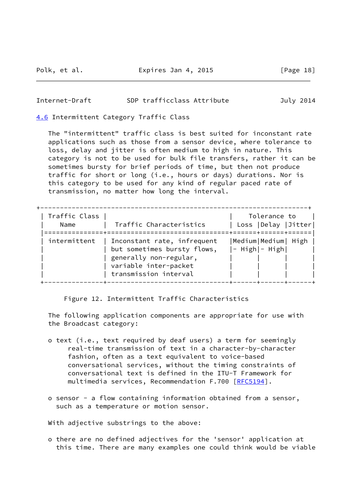#### <span id="page-21-1"></span>Internet-Draft SDP trafficclass Attribute July 2014

<span id="page-21-0"></span>[4.6](#page-21-0) Intermittent Category Traffic Class

 The "intermittent" traffic class is best suited for inconstant rate applications such as those from a sensor device, where tolerance to loss, delay and jitter is often medium to high in nature. This category is not to be used for bulk file transfers, rather it can be sometimes bursty for brief periods of time, but then not produce traffic for short or long (i.e., hours or days) durations. Nor is this category to be used for any kind of regular paced rate of transmission, no matter how long the interval.

| Traffic Class<br>Name | Traffic Characteristics                                                                                                                | Tolerance to<br>Loss   Delay   Jitter <br>. = = = = = = + = = = = |
|-----------------------|----------------------------------------------------------------------------------------------------------------------------------------|-------------------------------------------------------------------|
| intermittent          | Inconstant rate, infrequent<br>but sometimes bursty flows,<br>generally non-regular,<br>variable inter-packet<br>transmission interval | Medium Medium  High<br>$ -$ High $ -$ High $ $                    |

Figure 12. Intermittent Traffic Characteristics

 The following application components are appropriate for use with the Broadcast category:

- o text (i.e., text required by deaf users) a term for seemingly real-time transmission of text in a character-by-character fashion, often as a text equivalent to voice-based conversational services, without the timing constraints of conversational text is defined in the ITU-T Framework for multimedia services, Recommendation F.700 [\[RFC5194](https://datatracker.ietf.org/doc/pdf/rfc5194)].
- o sensor a flow containing information obtained from a sensor, such as a temperature or motion sensor.

With adjective substrings to the above:

 o there are no defined adjectives for the 'sensor' application at this time. There are many examples one could think would be viable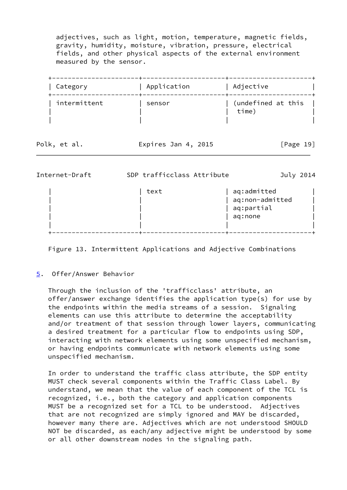adjectives, such as light, motion, temperature, magnetic fields, gravity, humidity, moisture, vibration, pressure, electrical fields, and other physical aspects of the external environment measured by the sensor.

| Category     | Application | Adjective                   |  |
|--------------|-------------|-----------------------------|--|
| intermittent | sensor      | (undefined at this<br>time) |  |

| Polk, et al. | Expires Jan 4, 2015 | [Page 19] |
|--------------|---------------------|-----------|
|              |                     |           |

<span id="page-22-1"></span>

| Internet-Draft | SDP trafficclass Attribute |                                                         | July 2014 |
|----------------|----------------------------|---------------------------------------------------------|-----------|
|                | text                       | aq:admitted<br>aq:non-admitted<br>aq:partial<br>aq:none |           |
|                |                            |                                                         |           |

Figure 13. Intermittent Applications and Adjective Combinations

## <span id="page-22-0"></span>[5](#page-22-0). Offer/Answer Behavior

 Through the inclusion of the 'trafficclass' attribute, an offer/answer exchange identifies the application type(s) for use by the endpoints within the media streams of a session. Signaling elements can use this attribute to determine the acceptability and/or treatment of that session through lower layers, communicating a desired treatment for a particular flow to endpoints using SDP, interacting with network elements using some unspecified mechanism, or having endpoints communicate with network elements using some unspecified mechanism.

 In order to understand the traffic class attribute, the SDP entity MUST check several components within the Traffic Class Label. By understand, we mean that the value of each component of the TCL is recognized, i.e., both the category and application components MUST be a recognized set for a TCL to be understood. Adjectives that are not recognized are simply ignored and MAY be discarded, however many there are. Adjectives which are not understood SHOULD NOT be discarded, as each/any adjective might be understood by some or all other downstream nodes in the signaling path.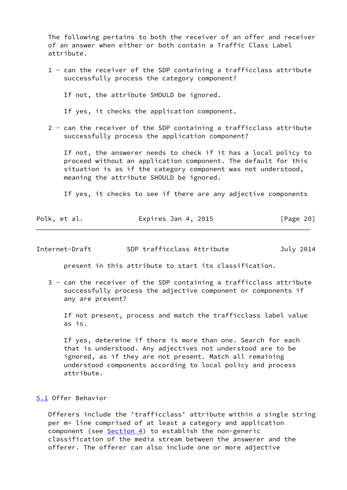The following pertains to both the receiver of an offer and receiver of an answer when either or both contain a Traffic Class Label attribute.

 1 - can the receiver of the SDP containing a trafficclass attribute successfully process the category component?

If not, the attribute SHOULD be ignored.

If yes, it checks the application component.

 2 - can the receiver of the SDP containing a trafficclass attribute successfully process the application component?

 If not, the answerer needs to check if it has a local policy to proceed without an application component. The default for this situation is as if the category component was not understood, meaning the attribute SHOULD be ignored.

If yes, it checks to see if there are any adjective components

|  | Polk, et al. | Expires Jan 4, 2015 | [Page 20] |
|--|--------------|---------------------|-----------|
|--|--------------|---------------------|-----------|

<span id="page-23-1"></span>

| Internet-Draft | SDP trafficclass Attribute | July 2014 |
|----------------|----------------------------|-----------|
|----------------|----------------------------|-----------|

present in this attribute to start its classification.

 3 - can the receiver of the SDP containing a trafficclass attribute successfully process the adjective component or components if any are present?

 If not present, process and match the trafficclass label value as is.

 If yes, determine if there is more than one. Search for each that is understood. Any adjectives not understood are to be ignored, as if they are not present. Match all remaining understood components according to local policy and process attribute.

<span id="page-23-0"></span>[5.1](#page-23-0) Offer Behavior

 Offerers include the 'trafficclass' attribute within a single string per m= line comprised of at least a category and application component (see [Section 4\)](#page-12-0) to establish the non-generic classification of the media stream between the answerer and the offerer. The offerer can also include one or more adjective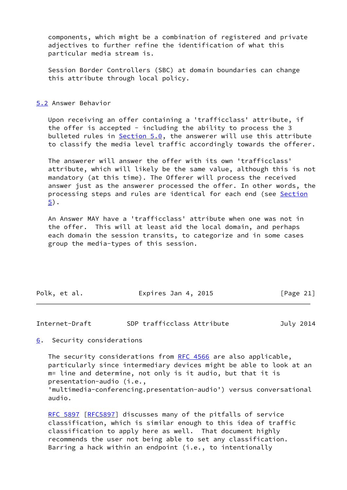components, which might be a combination of registered and private adjectives to further refine the identification of what this particular media stream is.

 Session Border Controllers (SBC) at domain boundaries can change this attribute through local policy.

<span id="page-24-0"></span>[5.2](#page-24-0) Answer Behavior

 Upon receiving an offer containing a 'trafficclass' attribute, if the offer is accepted - including the ability to process the 3 bulleted rules in Section 5.0, the answerer will use this attribute to classify the media level traffic accordingly towards the offerer.

 The answerer will answer the offer with its own 'trafficclass' attribute, which will likely be the same value, although this is not mandatory (at this time). The Offerer will process the received answer just as the answerer processed the offer. In other words, the processing steps and rules are identical for each end (see [Section](#page-22-0) [5](#page-22-0)).

 An Answer MAY have a 'trafficclass' attribute when one was not in the offer. This will at least aid the local domain, and perhaps each domain the session transits, to categorize and in some cases group the media-types of this session.

| Polk, et al. | Expires Jan 4, 2015 | [Page 21] |
|--------------|---------------------|-----------|
|              |                     |           |

Internet-Draft SDP trafficclass Attribute July 2014

<span id="page-24-1"></span>[6](#page-24-1). Security considerations

The security considerations from [RFC 4566](https://datatracker.ietf.org/doc/pdf/rfc4566) are also applicable, particularly since intermediary devices might be able to look at an m= line and determine, not only is it audio, but that it is presentation-audio (i.e.,

 'multimedia-conferencing.presentation-audio') versus conversational audio.

[RFC 5897](https://datatracker.ietf.org/doc/pdf/rfc5897) [\[RFC5897](https://datatracker.ietf.org/doc/pdf/rfc5897)] discusses many of the pitfalls of service classification, which is similar enough to this idea of traffic classification to apply here as well. That document highly recommends the user not being able to set any classification. Barring a hack within an endpoint (i.e., to intentionally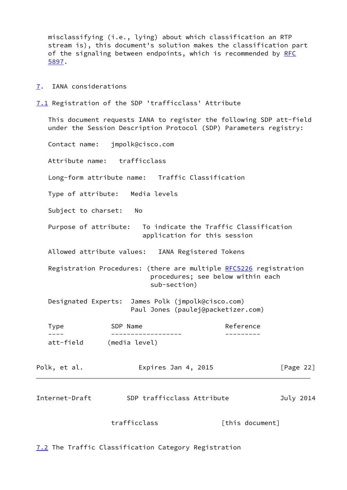misclassifying (i.e., lying) about which classification an RTP stream is), this document's solution makes the classification part of the signaling between endpoints, which is recommended by [RFC](https://datatracker.ietf.org/doc/pdf/rfc5897) [5897](https://datatracker.ietf.org/doc/pdf/rfc5897).

<span id="page-25-0"></span>[7](#page-25-0). IANA considerations

<span id="page-25-1"></span>[7.1](#page-25-1) Registration of the SDP 'trafficclass' Attribute

 This document requests IANA to register the following SDP att-field under the Session Description Protocol (SDP) Parameters registry:

Contact name: jmpolk@cisco.com

Attribute name: trafficclass

Long-form attribute name: Traffic Classification

Type of attribute: Media levels

Subject to charset: No

 Purpose of attribute: To indicate the Traffic Classification application for this session

Allowed attribute values: IANA Registered Tokens

Registration Procedures: (there are multiple [RFC5226](https://datatracker.ietf.org/doc/pdf/rfc5226) registration procedures; see below within each sub-section)

 Designated Experts: James Polk (jmpolk@cisco.com) Paul Jones (paulej@packetizer.com)

Type SDP Name SDP Name Reference ---- ------------------ -------- att-field (media level)

| Polk, et al. | Expires Jan 4, 2015 | [Page 22] |
|--------------|---------------------|-----------|
|--------------|---------------------|-----------|

| SDP trafficclass Attribute<br>July 2014<br>Internet-Draft |  |
|-----------------------------------------------------------|--|
|-----------------------------------------------------------|--|

trafficclass [this document]

<span id="page-25-2"></span>[7.2](#page-25-2) The Traffic Classification Category Registration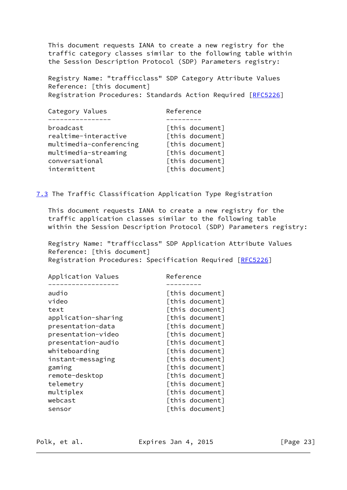This document requests IANA to create a new registry for the traffic category classes similar to the following table within the Session Description Protocol (SDP) Parameters registry:

 Registry Name: "trafficclass" SDP Category Attribute Values Reference: [this document] Registration Procedures: Standards Action Required [[RFC5226\]](https://datatracker.ietf.org/doc/pdf/rfc5226)

| Category Values         | Reference       |
|-------------------------|-----------------|
|                         |                 |
| broadcast               | [this document] |
| realtime-interactive    | [this document] |
| multimedia-conferencing | [this document] |
| multimedia-streaming    | [this document] |
| conversational          | [this document] |
| intermittent            | [this document] |
|                         |                 |

<span id="page-26-0"></span>[7.3](#page-26-0) The Traffic Classification Application Type Registration

 This document requests IANA to create a new registry for the traffic application classes similar to the following table within the Session Description Protocol (SDP) Parameters registry:

 Registry Name: "trafficclass" SDP Application Attribute Values Reference: [this document] Registration Procedures: Specification Required [\[RFC5226](https://datatracker.ietf.org/doc/pdf/rfc5226)]

| Application Values  |       |                 |
|---------------------|-------|-----------------|
|                     |       |                 |
|                     |       | [this document] |
| video               |       | [this document] |
| text                |       | [this document] |
| application-sharing |       | [this document] |
| presentation-data   |       | [this document] |
| presentation-video  |       | [this document] |
| presentation-audio  |       | [this document] |
| whiteboarding       |       | [this document] |
| instant-messaging   |       | [this document] |
| gaming              |       | [this document] |
| remote-desktop      |       | [this document] |
| telemetry           |       | [this document] |
| multiplex           |       | [this document] |
| webcast             |       | [this document] |
| sensor              |       | [this document] |
|                     | audio | Reference       |

Polk, et al. **Expires Jan 4, 2015** [Page 23]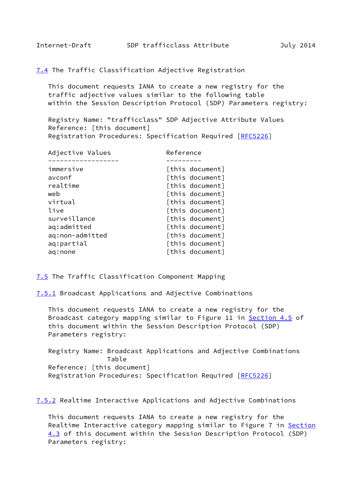<span id="page-27-0"></span>[7.4](#page-27-0) The Traffic Classification Adjective Registration

 This document requests IANA to create a new registry for the traffic adjective values similar to the following table within the Session Description Protocol (SDP) Parameters registry:

 Registry Name: "trafficclass" SDP Adjective Attribute Values Reference: [this document] Registration Procedures: Specification Required [\[RFC5226](https://datatracker.ietf.org/doc/pdf/rfc5226)]

| Adjective Values | Reference       |
|------------------|-----------------|
|                  |                 |
| immersive        | [this document] |
| avconf           | [this document] |
| realtime         | [this document] |
| web              | [this document] |
| virtual          | [this document] |
| live             | [this document] |
| surveillance     | [this document] |
| aq:admitted      | [this document] |
| aq:non-admitted  | [this document] |
| aq:partial       | [this document] |
| aq:none          | [this document] |
|                  |                 |

<span id="page-27-1"></span>[7.5](#page-27-1) The Traffic Classification Component Mapping

<span id="page-27-2"></span>[7.5.1](#page-27-2) Broadcast Applications and Adjective Combinations

 This document requests IANA to create a new registry for the Broadcast category mapping similar to Figure 11 in [Section 4.5](#page-19-0) of this document within the Session Description Protocol (SDP) Parameters registry:

 Registry Name: Broadcast Applications and Adjective Combinations Table Reference: [this document] Registration Procedures: Specification Required [\[RFC5226](https://datatracker.ietf.org/doc/pdf/rfc5226)]

<span id="page-27-3"></span>[7.5.2](#page-27-3) Realtime Interactive Applications and Adjective Combinations

 This document requests IANA to create a new registry for the Realtime Interactive category mapping similar to Figure 7 in [Section](#page-16-0) [4.3](#page-16-0) of this document within the Session Description Protocol (SDP) Parameters registry: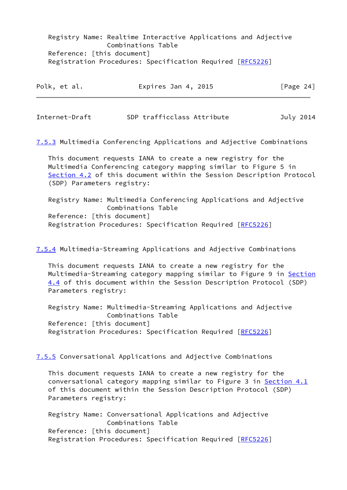Registry Name: Realtime Interactive Applications and Adjective Combinations Table Reference: [this document] Registration Procedures: Specification Required [\[RFC5226](https://datatracker.ietf.org/doc/pdf/rfc5226)]

| Polk, et al. | Expires Jan 4, 2015 | [Page 24] |
|--------------|---------------------|-----------|
|              |                     |           |

<span id="page-28-0"></span>Internet-Draft SDP trafficclass Attribute July 2014

<span id="page-28-1"></span>[7.5.3](#page-28-1) Multimedia Conferencing Applications and Adjective Combinations

 This document requests IANA to create a new registry for the Multimedia Conferencing category mapping similar to Figure 5 in [Section 4.2](#page-14-0) of this document within the Session Description Protocol (SDP) Parameters registry:

 Registry Name: Multimedia Conferencing Applications and Adjective Combinations Table Reference: [this document] Registration Procedures: Specification Required [\[RFC5226](https://datatracker.ietf.org/doc/pdf/rfc5226)]

<span id="page-28-2"></span>[7.5.4](#page-28-2) Multimedia-Streaming Applications and Adjective Combinations

 This document requests IANA to create a new registry for the Multimedia-Streaming category mapping similar to Figure 9 in [Section](#page-17-0) [4.4](#page-17-0) of this document within the Session Description Protocol (SDP) Parameters registry:

 Registry Name: Multimedia-Streaming Applications and Adjective Combinations Table Reference: [this document] Registration Procedures: Specification Required [\[RFC5226](https://datatracker.ietf.org/doc/pdf/rfc5226)]

<span id="page-28-3"></span>[7.5.5](#page-28-3) Conversational Applications and Adjective Combinations

 This document requests IANA to create a new registry for the conversational category mapping similar to Figure 3 in [Section 4.1](#page-12-1) of this document within the Session Description Protocol (SDP) Parameters registry:

 Registry Name: Conversational Applications and Adjective Combinations Table Reference: [this document] Registration Procedures: Specification Required [\[RFC5226](https://datatracker.ietf.org/doc/pdf/rfc5226)]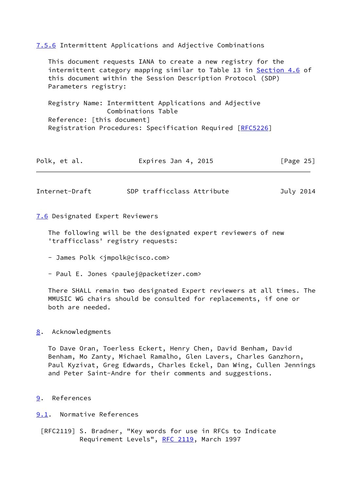<span id="page-29-4"></span>

| 7.5.6 Intermittent Applications and Adjective Combinations                                                                                                                                                                 |
|----------------------------------------------------------------------------------------------------------------------------------------------------------------------------------------------------------------------------|
| This document requests IANA to create a new registry for the<br>intermittent category mapping similar to Table 13 in Section 4.6 of<br>this document within the Session Description Protocol (SDP)<br>Parameters registry: |
| Registry Name: Intermittent Applications and Adjective<br>Combinations Table                                                                                                                                               |
| Reference: [this document]                                                                                                                                                                                                 |
| Registration Procedures: Specification Required [RFC5226]                                                                                                                                                                  |
|                                                                                                                                                                                                                            |
|                                                                                                                                                                                                                            |

| Polk, et al. | Expires Jan 4, 2015 | [Page 25] |
|--------------|---------------------|-----------|
|              |                     |           |

<span id="page-29-3"></span>Internet-Draft SDP trafficclass Attribute July 2014

<span id="page-29-5"></span>[7.6](#page-29-5) Designated Expert Reviewers

 The following will be the designated expert reviewers of new 'trafficclass' registry requests:

- James Polk <jmpolk@cisco.com>
- Paul E. Jones <paulej@packetizer.com>

 There SHALL remain two designated Expert reviewers at all times. The MMUSIC WG chairs should be consulted for replacements, if one or both are needed.

#### <span id="page-29-0"></span>[8](#page-29-0). Acknowledgments

 To Dave Oran, Toerless Eckert, Henry Chen, David Benham, David Benham, Mo Zanty, Michael Ramalho, Glen Lavers, Charles Ganzhorn, Paul Kyzivat, Greg Edwards, Charles Eckel, Dan Wing, Cullen Jennings and Peter Saint-Andre for their comments and suggestions.

<span id="page-29-1"></span>[9](#page-29-1). References

<span id="page-29-2"></span>[9.1](#page-29-2). Normative References

 [RFC2119] S. Bradner, "Key words for use in RFCs to Indicate Requirement Levels", [RFC 2119](https://datatracker.ietf.org/doc/pdf/rfc2119), March 1997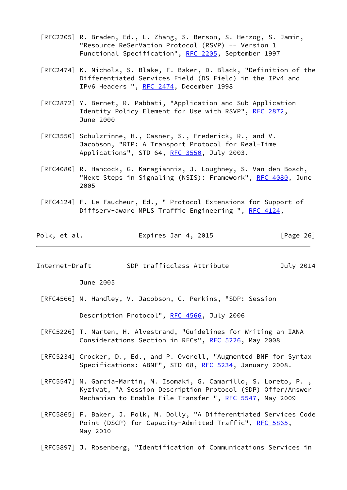- [RFC2205] R. Braden, Ed., L. Zhang, S. Berson, S. Herzog, S. Jamin, "Resource ReSerVation Protocol (RSVP) -- Version 1 Functional Specification", [RFC 2205,](https://datatracker.ietf.org/doc/pdf/rfc2205) September 1997
- [RFC2474] K. Nichols, S. Blake, F. Baker, D. Black, "Definition of the Differentiated Services Field (DS Field) in the IPv4 and IPv6 Headers ", [RFC 2474](https://datatracker.ietf.org/doc/pdf/rfc2474), December 1998
- [RFC2872] Y. Bernet, R. Pabbati, "Application and Sub Application Identity Policy Element for Use with RSVP", [RFC 2872,](https://datatracker.ietf.org/doc/pdf/rfc2872) June 2000
- [RFC3550] Schulzrinne, H., Casner, S., Frederick, R., and V. Jacobson, "RTP: A Transport Protocol for Real-Time Applications", STD 64, [RFC 3550,](https://datatracker.ietf.org/doc/pdf/rfc3550) July 2003.
- [RFC4080] R. Hancock, G. Karagiannis, J. Loughney, S. Van den Bosch, "Next Steps in Signaling (NSIS): Framework", [RFC 4080](https://datatracker.ietf.org/doc/pdf/rfc4080), June 2005
- [RFC4124] F. Le Faucheur, Ed., " Protocol Extensions for Support of Diffserv-aware MPLS Traffic Engineering ", [RFC 4124,](https://datatracker.ietf.org/doc/pdf/rfc4124)

| Polk, et al. | Expires Jan 4, 2015 |  | [Page 26] |  |
|--------------|---------------------|--|-----------|--|
|--------------|---------------------|--|-----------|--|

<span id="page-30-0"></span>Internet-Draft SDP trafficclass Attribute July 2014

June 2005

[RFC4566] M. Handley, V. Jacobson, C. Perkins, "SDP: Session

Description Protocol", [RFC 4566,](https://datatracker.ietf.org/doc/pdf/rfc4566) July 2006

- [RFC5226] T. Narten, H. Alvestrand, "Guidelines for Writing an IANA Considerations Section in RFCs", [RFC 5226](https://datatracker.ietf.org/doc/pdf/rfc5226), May 2008
- [RFC5234] Crocker, D., Ed., and P. Overell, "Augmented BNF for Syntax Specifications: ABNF", STD 68, [RFC 5234,](https://datatracker.ietf.org/doc/pdf/rfc5234) January 2008.
- [RFC5547] M. Garcia-Martin, M. Isomaki, G. Camarillo, S. Loreto, P. , Kyzivat, "A Session Description Protocol (SDP) Offer/Answer Mechanism to Enable File Transfer ", [RFC 5547](https://datatracker.ietf.org/doc/pdf/rfc5547), May 2009
- [RFC5865] F. Baker, J. Polk, M. Dolly, "A Differentiated Services Code Point (DSCP) for Capacity-Admitted Traffic", [RFC 5865](https://datatracker.ietf.org/doc/pdf/rfc5865), May 2010
- [RFC5897] J. Rosenberg, "Identification of Communications Services in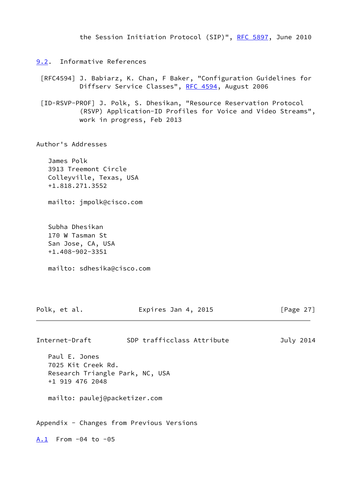the Session Initiation Protocol (SIP)", [RFC 5897](https://datatracker.ietf.org/doc/pdf/rfc5897), June 2010

- <span id="page-31-1"></span><span id="page-31-0"></span>[9.2](#page-31-0). Informative References
	- [RFC4594] J. Babiarz, K. Chan, F Baker, "Configuration Guidelines for Diffserv Service Classes", [RFC 4594,](https://datatracker.ietf.org/doc/pdf/rfc4594) August 2006
	- [ID-RSVP-PROF] J. Polk, S. Dhesikan, "Resource Reservation Protocol (RSVP) Application-ID Profiles for Voice and Video Streams", work in progress, Feb 2013

Author's Addresses

 James Polk 3913 Treemont Circle Colleyville, Texas, USA +1.818.271.3552

mailto: jmpolk@cisco.com

 Subha Dhesikan 170 W Tasman St San Jose, CA, USA +1.408-902-3351

mailto: sdhesika@cisco.com

<span id="page-31-2"></span>

| Polk, et al.                                                                              | Expires Jan 4, 2015                       | [Page $27$ ] |
|-------------------------------------------------------------------------------------------|-------------------------------------------|--------------|
| Internet-Draft                                                                            | SDP trafficclass Attribute                | July 2014    |
| Paul E. Jones<br>7025 Kit Creek Rd.<br>Research Triangle Park, NC, USA<br>+1 919 476 2048 |                                           |              |
| mailto: paulej@packetizer.com                                                             |                                           |              |
|                                                                                           | Appendix - Changes from Previous Versions |              |
| $A.1$ From -04 to -05                                                                     |                                           |              |
|                                                                                           |                                           |              |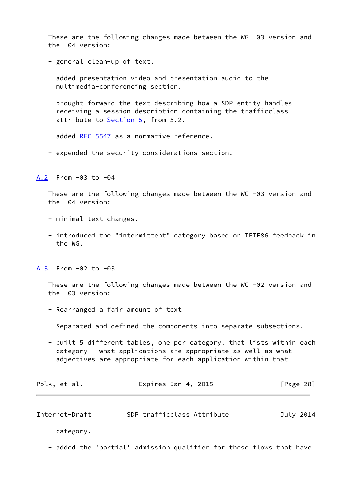These are the following changes made between the WG -03 version and the -04 version:

- general clean-up of text.
- added presentation-video and presentation-audio to the multimedia-conferencing section.
- brought forward the text describing how a SDP entity handles receiving a session description containing the trafficclass attribute to **Section 5**, from 5.2.
- added [RFC 5547](https://datatracker.ietf.org/doc/pdf/rfc5547) as a normative reference.
- expended the security considerations section.

<span id="page-32-0"></span>[A.2](#page-32-0) From -03 to -04

 These are the following changes made between the WG -03 version and the -04 version:

- minimal text changes.
- introduced the "intermittent" category based on IETF86 feedback in the WG.

<span id="page-32-1"></span>[A.3](#page-32-1) From -02 to -03

 These are the following changes made between the WG -02 version and the -03 version:

- Rearranged a fair amount of text
- Separated and defined the components into separate subsections.
- built 5 different tables, one per category, that lists within each category - what applications are appropriate as well as what adjectives are appropriate for each application within that

| Polk, et al. | Expires Jan 4, 2015 | [Page 28] |
|--------------|---------------------|-----------|
|              |                     |           |

Internet-Draft SDP trafficclass Attribute July 2014

category.

- added the 'partial' admission qualifier for those flows that have